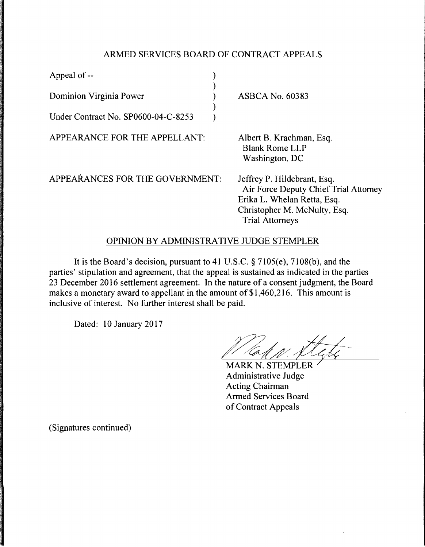## ARMED SERVICES BOARD OF CONTRACT APPEALS

| Appeal of --                        |                                                                                                                                                               |
|-------------------------------------|---------------------------------------------------------------------------------------------------------------------------------------------------------------|
| Dominion Virginia Power             | <b>ASBCA No. 60383</b>                                                                                                                                        |
| Under Contract No. SP0600-04-C-8253 |                                                                                                                                                               |
| APPEARANCE FOR THE APPELLANT:       | Albert B. Krachman, Esq.<br><b>Blank Rome LLP</b><br>Washington, DC                                                                                           |
| APPEARANCES FOR THE GOVERNMENT:     | Jeffrey P. Hildebrant, Esq.<br>Air Force Deputy Chief Trial Attorney<br>Erika L. Whelan Retta, Esq.<br>Christopher M. McNulty, Esq.<br><b>Trial Attorneys</b> |

## OPINION BY ADMINISTRATIVE JUDGE STEMPLER

It is the Board's decision, pursuant to 41 U.S.C. § 7105(e), 7108(b), and the parties' stipulation and agreement, that the appeal is sustained as indicated in the parties 23 December 2016 settlement agreement. In the nature of a consent judgment, the Board makes a monetary award to appellant in the amount of \$1,460,216. This amount is inclusive of interest. No further interest shall be paid.

Dated: 10 January 2017

**MARK N. STEMPLER** Administrative Judge **Acting Chairman Armed Services Board** of Contract Appeals

(Signatures continued)